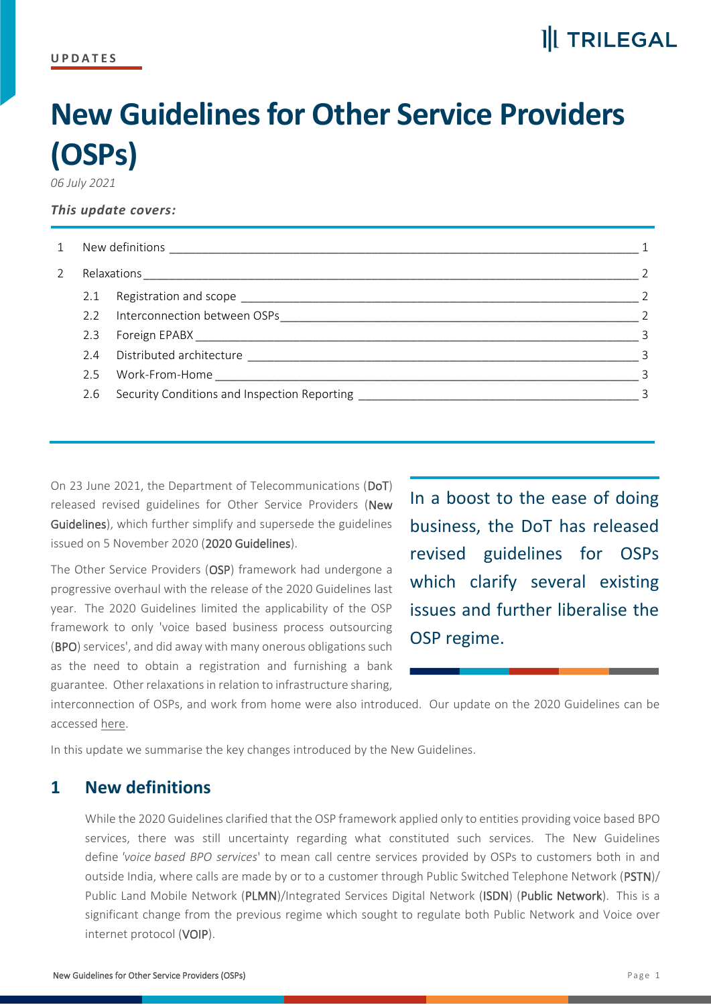### **II** TRILEGAL

# **New Guidelines for Other Service Providers (OSPs)**

*06 July 2021*

#### *This update covers:*

| $\mathbf{1}$ | New definitions experience and the set of the set of the set of the set of the set of the set of the set of the |                                              |                            |
|--------------|-----------------------------------------------------------------------------------------------------------------|----------------------------------------------|----------------------------|
| 2            |                                                                                                                 |                                              |                            |
|              |                                                                                                                 |                                              |                            |
|              |                                                                                                                 | 2.2 Interconnection between OSPs             |                            |
|              |                                                                                                                 |                                              | $\overline{\phantom{a}}$ 3 |
|              |                                                                                                                 |                                              |                            |
|              |                                                                                                                 | 2.5 Work-From-Home _______________________   | $\mathcal{R}$              |
|              | 2.6                                                                                                             | Security Conditions and Inspection Reporting |                            |

On 23 June 2021, the Department of Telecommunications (DoT) released revised guidelines for Other Service Providers (New Guidelines), which further simplify and supersede the guidelines issued on 5 November 2020 (2020 Guidelines).

The Other Service Providers (OSP) framework had undergone a progressive overhaul with the release of the 2020 Guidelines last year. The 2020 Guidelines limited the applicability of the OSP framework to only 'voice based business process outsourcing (BPO) services', and did away with many onerous obligations such as the need to obtain a registration and furnishing a bank guarantee. Other relaxations in relation to infrastructure sharing,

In a boost to the ease of doing business, the DoT has released revised guidelines for OSPs which clarify several existing issues and further liberalise the OSP regime.

interconnection of OSPs, and work from home were also introduced. Our update on the 2020 Guidelines can be accessed [here.](https://protect-eu.mimecast.com/s/VBW1CY6LKT3OZzOiG6xby?domain=trilegal.com)

<span id="page-0-0"></span>In this update we summarise the key changes introduced by the New Guidelines.

#### **1 New definitions**

While the 2020 Guidelines clarified that the OSP framework applied only to entities providing voice based BPO services, there was still uncertainty regarding what constituted such services. The New Guidelines define *'voice based BPO services*' to mean call centre services provided by OSPs to customers both in and outside India, where calls are made by or to a customer through Public Switched Telephone Network (PSTN)/ Public Land Mobile Network (PLMN)/Integrated Services Digital Network (ISDN) (Public Network). This is a significant change from the previous regime which sought to regulate both Public Network and Voice over internet protocol (VOIP).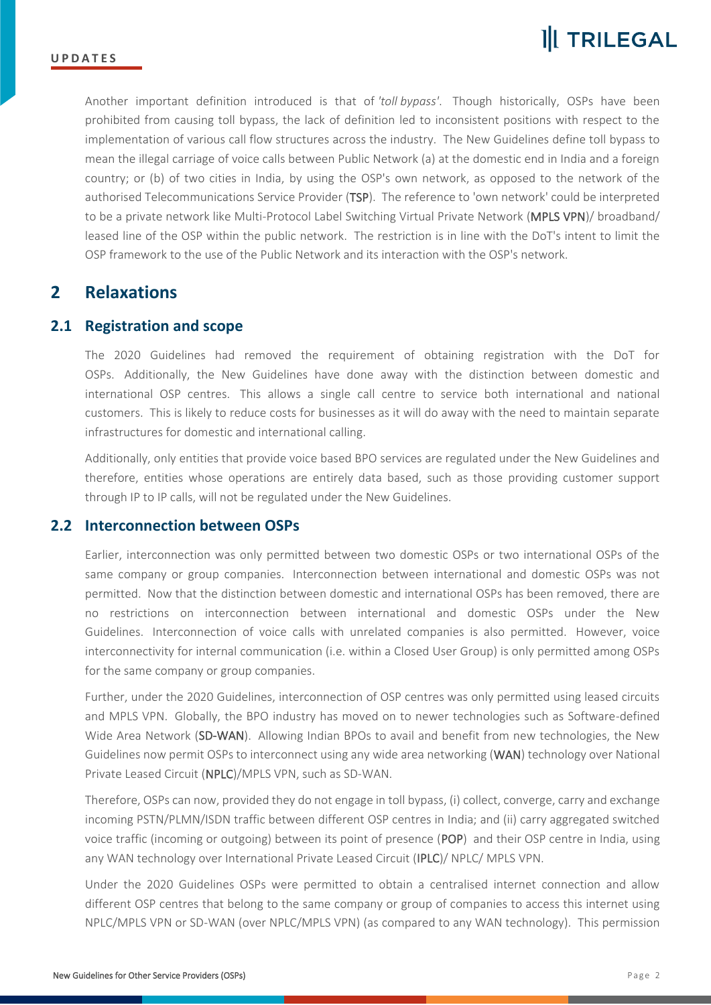Another important definition introduced is that of *'toll bypass'*. Though historically, OSPs have been prohibited from causing toll bypass, the lack of definition led to inconsistent positions with respect to the implementation of various call flow structures across the industry. The New Guidelines define toll bypass to mean the illegal carriage of voice calls between Public Network (a) at the domestic end in India and a foreign country; or (b) of two cities in India, by using the OSP's own network, as opposed to the network of the authorised Telecommunications Service Provider (TSP). The reference to 'own network' could be interpreted to be a private network like Multi-Protocol Label Switching Virtual Private Network (MPLS VPN)/ broadband/ leased line of the OSP within the public network. The restriction is in line with the DoT's intent to limit the OSP framework to the use of the Public Network and its interaction with the OSP's network.

#### <span id="page-1-0"></span>**2 Relaxations**

#### <span id="page-1-1"></span>**2.1 Registration and scope**

The 2020 Guidelines had removed the requirement of obtaining registration with the DoT for OSPs. Additionally, the New Guidelines have done away with the distinction between domestic and international OSP centres. This allows a single call centre to service both international and national customers. This is likely to reduce costs for businesses as it will do away with the need to maintain separate infrastructures for domestic and international calling.

Additionally, only entities that provide voice based BPO services are regulated under the New Guidelines and therefore, entities whose operations are entirely data based, such as those providing customer support through IP to IP calls, will not be regulated under the New Guidelines.

#### <span id="page-1-2"></span>**2.2 Interconnection between OSPs**

Earlier, interconnection was only permitted between two domestic OSPs or two international OSPs of the same company or group companies. Interconnection between international and domestic OSPs was not permitted. Now that the distinction between domestic and international OSPs has been removed, there are no restrictions on interconnection between international and domestic OSPs under the New Guidelines. Interconnection of voice calls with unrelated companies is also permitted. However, voice interconnectivity for internal communication (i.e. within a Closed User Group) is only permitted among OSPs for the same company or group companies.

Further, under the 2020 Guidelines, interconnection of OSP centres was only permitted using leased circuits and MPLS VPN. Globally, the BPO industry has moved on to newer technologies such as Software-defined Wide Area Network (SD-WAN). Allowing Indian BPOs to avail and benefit from new technologies, the New Guidelines now permit OSPs to interconnect using any wide area networking (WAN) technology over National Private Leased Circuit (NPLC)/MPLS VPN, such as SD-WAN.

Therefore, OSPs can now, provided they do not engage in toll bypass, (i) collect, converge, carry and exchange incoming PSTN/PLMN/ISDN traffic between different OSP centres in India; and (ii) carry aggregated switched voice traffic (incoming or outgoing) between its point of presence (POP) and their OSP centre in India, using any WAN technology over International Private Leased Circuit (IPLC)/ NPLC/ MPLS VPN.

Under the 2020 Guidelines OSPs were permitted to obtain a centralised internet connection and allow different OSP centres that belong to the same company or group of companies to access this internet using NPLC/MPLS VPN or SD-WAN (over NPLC/MPLS VPN) (as compared to any WAN technology). This permission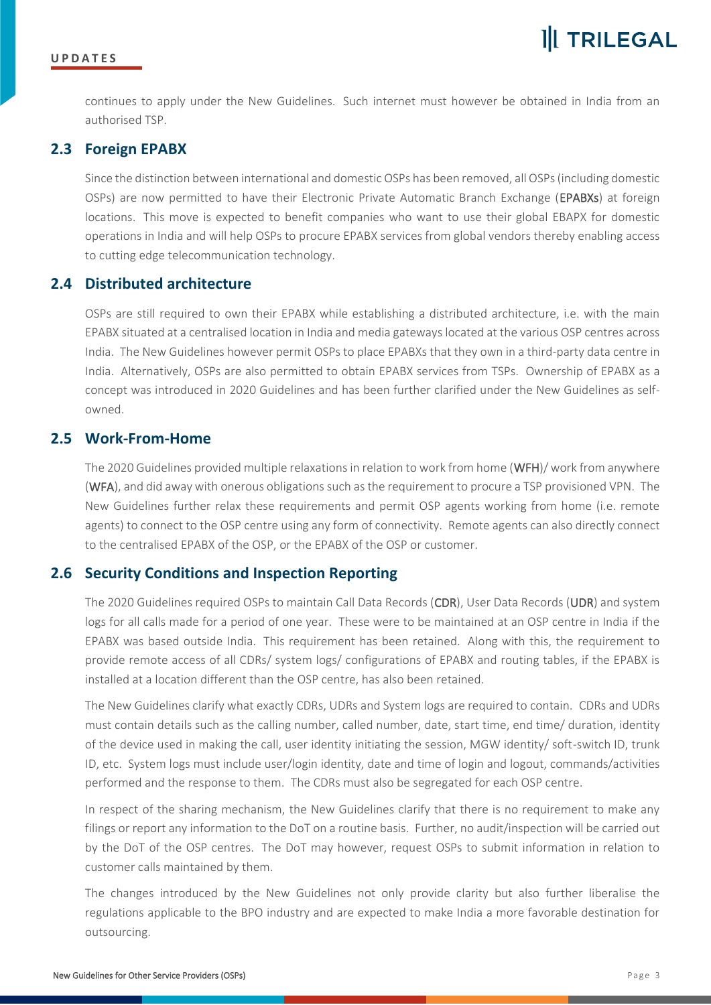continues to apply under the New Guidelines. Such internet must however be obtained in India from an authorised TSP.

#### <span id="page-2-0"></span>**2.3 Foreign EPABX**

Since the distinction between international and domestic OSPs has been removed, all OSPs (including domestic OSPs) are now permitted to have their Electronic Private Automatic Branch Exchange (EPABXs) at foreign locations. This move is expected to benefit companies who want to use their global EBAPX for domestic operations in India and will help OSPs to procure EPABX services from global vendors thereby enabling access to cutting edge telecommunication technology.

#### <span id="page-2-1"></span>**2.4 Distributed architecture**

OSPs are still required to own their EPABX while establishing a distributed architecture, i.e. with the main EPABX situated at a centralised location in India and media gateways located at the various OSP centres across India. The New Guidelines however permit OSPs to place EPABXs that they own in a third-party data centre in India. Alternatively, OSPs are also permitted to obtain EPABX services from TSPs. Ownership of EPABX as a concept was introduced in 2020 Guidelines and has been further clarified under the New Guidelines as selfowned.

#### <span id="page-2-2"></span>**2.5 Work-From-Home**

The 2020 Guidelines provided multiple relaxations in relation to work from home (WFH)/ work from anywhere (WFA), and did away with onerous obligations such as the requirement to procure a TSP provisioned VPN. The New Guidelines further relax these requirements and permit OSP agents working from home (i.e. remote agents) to connect to the OSP centre using any form of connectivity. Remote agents can also directly connect to the centralised EPABX of the OSP, or the EPABX of the OSP or customer.

#### <span id="page-2-3"></span>**2.6 Security Conditions and Inspection Reporting**

The 2020 Guidelines required OSPs to maintain Call Data Records (CDR), User Data Records (UDR) and system logs for all calls made for a period of one year. These were to be maintained at an OSP centre in India if the EPABX was based outside India. This requirement has been retained. Along with this, the requirement to provide remote access of all CDRs/ system logs/ configurations of EPABX and routing tables, if the EPABX is installed at a location different than the OSP centre, has also been retained.

The New Guidelines clarify what exactly CDRs, UDRs and System logs are required to contain. CDRs and UDRs must contain details such as the calling number, called number, date, start time, end time/ duration, identity of the device used in making the call, user identity initiating the session, MGW identity/ soft-switch ID, trunk ID, etc. System logs must include user/login identity, date and time of login and logout, commands/activities performed and the response to them. The CDRs must also be segregated for each OSP centre.

In respect of the sharing mechanism, the New Guidelines clarify that there is no requirement to make any filings or report any information to the DoT on a routine basis. Further, no audit/inspection will be carried out by the DoT of the OSP centres. The DoT may however, request OSPs to submit information in relation to customer calls maintained by them.

The changes introduced by the New Guidelines not only provide clarity but also further liberalise the regulations applicable to the BPO industry and are expected to make India a more favorable destination for outsourcing.